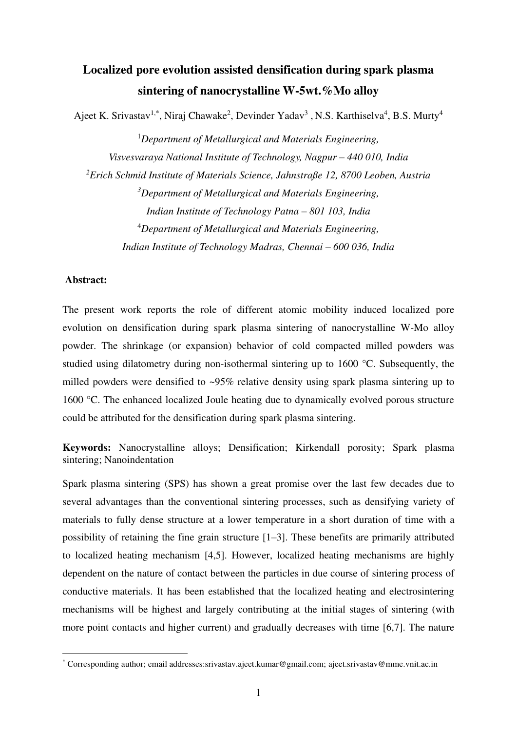# **Localized pore evolution assisted densification during spark plasma sintering of nanocrystalline W-5wt.%Mo alloy**

Ajeet K. Srivastav<sup>1,\*</sup>, Niraj Chawake<sup>2</sup>, Devinder Yadav<sup>3</sup>, N.S. Karthiselva<sup>4</sup>, B.S. Murty<sup>4</sup>

<sup>1</sup>*Department of Metallurgical and Materials Engineering, Visvesvaraya National Institute of Technology, Nagpur – 440 010, India <sup>2</sup>Erich Schmid Institute of Materials Science, Jahnstraße 12, 8700 Leoben, Austria <sup>3</sup>Department of Metallurgical and Materials Engineering, Indian Institute of Technology Patna – 801 103, India*  <sup>4</sup>*Department of Metallurgical and Materials Engineering, Indian Institute of Technology Madras, Chennai* – 600 036, *India* 

## **Abstract:**

The present work reports the role of different atomic mobility induced localized pore evolution on densification during spark plasma sintering of nanocrystalline W-Mo alloy powder. The shrinkage (or expansion) behavior of cold compacted milled powders was studied using dilatometry during non-isothermal sintering up to 1600 °C. Subsequently, the milled powders were densified to ~95% relative density using spark plasma sintering up to 1600 °C. The enhanced localized Joule heating due to dynamically evolved porous structure could be attributed for the densification during spark plasma sintering.

**Keywords:** Nanocrystalline alloys; Densification; Kirkendall porosity; Spark plasma sintering; Nanoindentation

Spark plasma sintering (SPS) has shown a great promise over the last few decades due to several advantages than the conventional sintering processes, such as densifying variety of materials to fully dense structure at a lower temperature in a short duration of time with a possibility of retaining the fine grain structure [1–3]. These benefits are primarily attributed to localized heating mechanism [4,5]. However, localized heating mechanisms are highly dependent on the nature of contact between the particles in due course of sintering process of conductive materials. It has been established that the localized heating and electrosintering mechanisms will be highest and largely contributing at the initial stages of sintering (with more point contacts and higher current) and gradually decreases with time [6,7]. The nature

<sup>\*</sup> Corresponding author; email addresses:srivastav.ajeet.kumar@gmail.com; ajeet.srivastav@mme.vnit.ac.in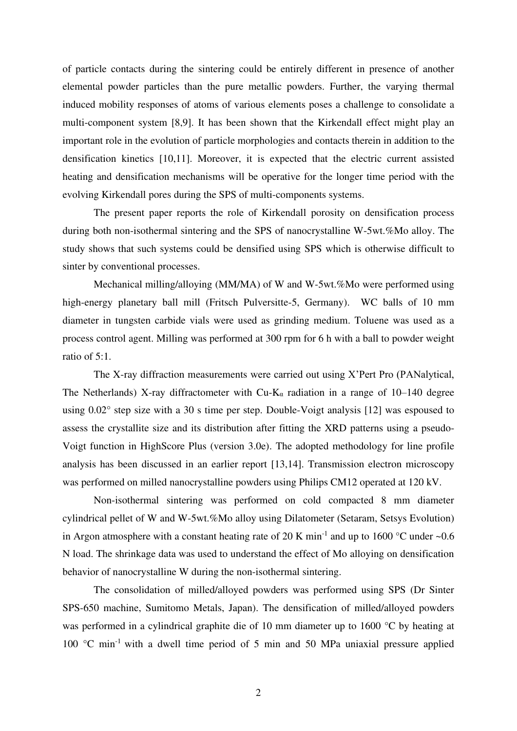of particle contacts during the sintering could be entirely different in presence of another elemental powder particles than the pure metallic powders. Further, the varying thermal induced mobility responses of atoms of various elements poses a challenge to consolidate a multi-component system [8,9]. It has been shown that the Kirkendall effect might play an important role in the evolution of particle morphologies and contacts therein in addition to the densification kinetics [10,11]. Moreover, it is expected that the electric current assisted heating and densification mechanisms will be operative for the longer time period with the evolving Kirkendall pores during the SPS of multi-components systems.

 The present paper reports the role of Kirkendall porosity on densification process during both non-isothermal sintering and the SPS of nanocrystalline W-5wt.%Mo alloy. The study shows that such systems could be densified using SPS which is otherwise difficult to sinter by conventional processes.

 Mechanical milling/alloying (MM/MA) of W and W-5wt.%Mo were performed using high-energy planetary ball mill (Fritsch Pulversitte-5, Germany). WC balls of 10 mm diameter in tungsten carbide vials were used as grinding medium. Toluene was used as a process control agent. Milling was performed at 300 rpm for 6 h with a ball to powder weight ratio of 5:1.

 The X-ray diffraction measurements were carried out using X'Pert Pro (PANalytical, The Netherlands) X-ray diffractometer with  $Cu-K_{\alpha}$  radiation in a range of 10–140 degree using 0.02° step size with a 30 s time per step. Double-Voigt analysis [12] was espoused to assess the crystallite size and its distribution after fitting the XRD patterns using a pseudo-Voigt function in HighScore Plus (version 3.0e). The adopted methodology for line profile analysis has been discussed in an earlier report [13,14]. Transmission electron microscopy was performed on milled nanocrystalline powders using Philips CM12 operated at 120 kV.

 Non-isothermal sintering was performed on cold compacted 8 mm diameter cylindrical pellet of W and W-5wt.%Mo alloy using Dilatometer (Setaram, Setsys Evolution) in Argon atmosphere with a constant heating rate of 20 K min<sup>-1</sup> and up to 1600 °C under  $\sim 0.6$ N load. The shrinkage data was used to understand the effect of Mo alloying on densification behavior of nanocrystalline W during the non-isothermal sintering.

 The consolidation of milled/alloyed powders was performed using SPS (Dr Sinter SPS-650 machine, Sumitomo Metals, Japan). The densification of milled/alloyed powders was performed in a cylindrical graphite die of 10 mm diameter up to 1600 °C by heating at 100 °C min-1 with a dwell time period of 5 min and 50 MPa uniaxial pressure applied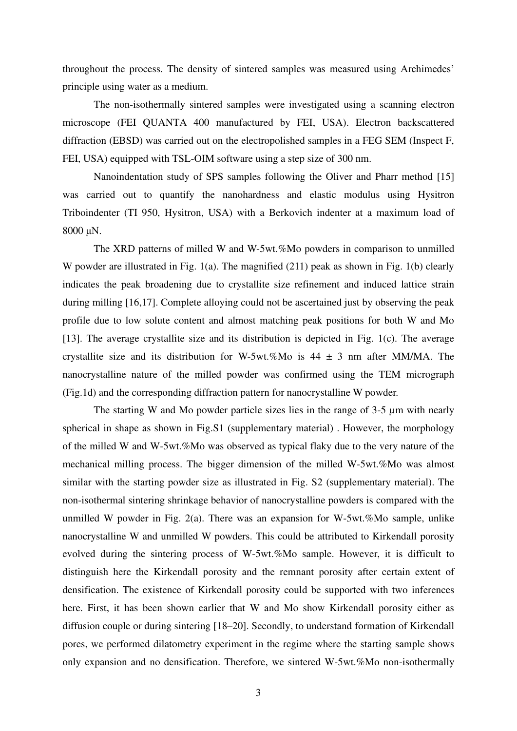throughout the process. The density of sintered samples was measured using Archimedes' principle using water as a medium.

 The non-isothermally sintered samples were investigated using a scanning electron microscope (FEI QUANTA 400 manufactured by FEI, USA). Electron backscattered diffraction (EBSD) was carried out on the electropolished samples in a FEG SEM (Inspect F, FEI, USA) equipped with TSL-OIM software using a step size of 300 nm.

 Nanoindentation study of SPS samples following the Oliver and Pharr method [15] was carried out to quantify the nanohardness and elastic modulus using Hysitron Triboindenter (TI 950, Hysitron, USA) with a Berkovich indenter at a maximum load of 8000 μN.

 The XRD patterns of milled W and W-5wt.%Mo powders in comparison to unmilled W powder are illustrated in Fig. 1(a). The magnified (211) peak as shown in Fig. 1(b) clearly indicates the peak broadening due to crystallite size refinement and induced lattice strain during milling [16,17]. Complete alloying could not be ascertained just by observing the peak profile due to low solute content and almost matching peak positions for both W and Mo [13]. The average crystallite size and its distribution is depicted in Fig. 1(c). The average crystallite size and its distribution for W-5wt.%Mo is  $44 \pm 3$  nm after MM/MA. The nanocrystalline nature of the milled powder was confirmed using the TEM micrograph (Fig.1d) and the corresponding diffraction pattern for nanocrystalline W powder.

The starting W and Mo powder particle sizes lies in the range of 3-5  $\mu$ m with nearly spherical in shape as shown in Fig.S1 (supplementary material) . However, the morphology of the milled W and W-5wt.%Mo was observed as typical flaky due to the very nature of the mechanical milling process. The bigger dimension of the milled W-5wt.%Mo was almost similar with the starting powder size as illustrated in Fig. S2 (supplementary material). The non-isothermal sintering shrinkage behavior of nanocrystalline powders is compared with the unmilled W powder in Fig. 2(a). There was an expansion for W-5wt.%Mo sample, unlike nanocrystalline W and unmilled W powders. This could be attributed to Kirkendall porosity evolved during the sintering process of W-5wt.%Mo sample. However, it is difficult to distinguish here the Kirkendall porosity and the remnant porosity after certain extent of densification. The existence of Kirkendall porosity could be supported with two inferences here. First, it has been shown earlier that W and Mo show Kirkendall porosity either as diffusion couple or during sintering [18–20]. Secondly, to understand formation of Kirkendall pores, we performed dilatometry experiment in the regime where the starting sample shows only expansion and no densification. Therefore, we sintered W-5wt.%Mo non-isothermally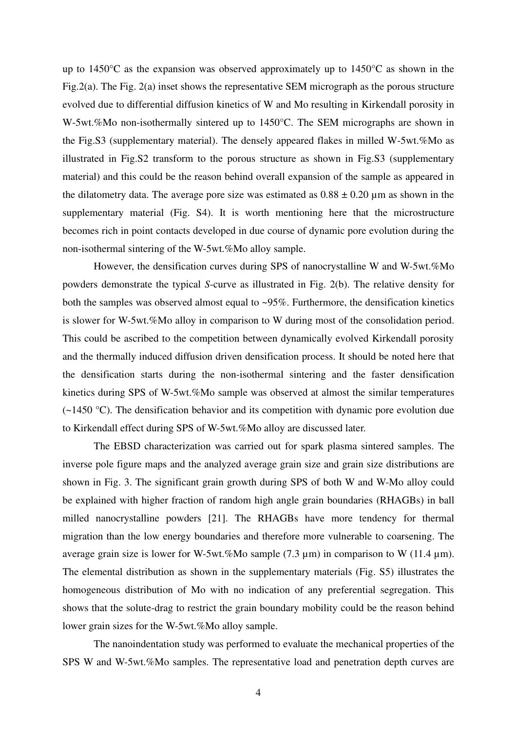up to 1450°C as the expansion was observed approximately up to 1450°C as shown in the Fig.2(a). The Fig. 2(a) inset shows the representative SEM micrograph as the porous structure evolved due to differential diffusion kinetics of W and Mo resulting in Kirkendall porosity in W-5wt.%Mo non-isothermally sintered up to 1450°C. The SEM micrographs are shown in the Fig.S3 (supplementary material). The densely appeared flakes in milled W-5wt.%Mo as illustrated in Fig.S2 transform to the porous structure as shown in Fig.S3 (supplementary material) and this could be the reason behind overall expansion of the sample as appeared in the dilatometry data. The average pore size was estimated as  $0.88 \pm 0.20 \,\mu$ m as shown in the supplementary material (Fig. S4). It is worth mentioning here that the microstructure becomes rich in point contacts developed in due course of dynamic pore evolution during the non-isothermal sintering of the W-5wt.%Mo alloy sample.

 However, the densification curves during SPS of nanocrystalline W and W-5wt.%Mo powders demonstrate the typical *S*-curve as illustrated in Fig. 2(b). The relative density for both the samples was observed almost equal to ~95%. Furthermore, the densification kinetics is slower for W-5wt.%Mo alloy in comparison to W during most of the consolidation period. This could be ascribed to the competition between dynamically evolved Kirkendall porosity and the thermally induced diffusion driven densification process. It should be noted here that the densification starts during the non-isothermal sintering and the faster densification kinetics during SPS of W-5wt.%Mo sample was observed at almost the similar temperatures  $(-1450 \degree C)$ . The densification behavior and its competition with dynamic pore evolution due to Kirkendall effect during SPS of W-5wt.%Mo alloy are discussed later.

 The EBSD characterization was carried out for spark plasma sintered samples. The inverse pole figure maps and the analyzed average grain size and grain size distributions are shown in Fig. 3. The significant grain growth during SPS of both W and W-Mo alloy could be explained with higher fraction of random high angle grain boundaries (RHAGBs) in ball milled nanocrystalline powders [21]. The RHAGBs have more tendency for thermal migration than the low energy boundaries and therefore more vulnerable to coarsening. The average grain size is lower for W-5wt.%Mo sample  $(7.3 \text{ µm})$  in comparison to W  $(11.4 \text{ µm})$ . The elemental distribution as shown in the supplementary materials (Fig. S5) illustrates the homogeneous distribution of Mo with no indication of any preferential segregation. This shows that the solute-drag to restrict the grain boundary mobility could be the reason behind lower grain sizes for the W-5wt.%Mo alloy sample.

 The nanoindentation study was performed to evaluate the mechanical properties of the SPS W and W-5wt.%Mo samples. The representative load and penetration depth curves are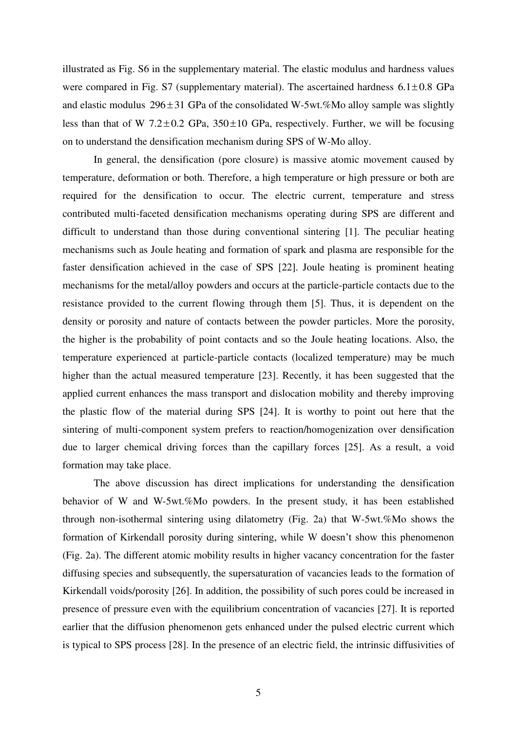illustrated as Fig. S6 in the supplementary material. The elastic modulus and hardness values were compared in Fig. S7 (supplementary material). The ascertained hardness  $6.1 \pm 0.8$  GPa and elastic modulus  $296 \pm 31$  GPa of the consolidated W-5wt.%Mo alloy sample was slightly less than that of W 7.2 $\pm$ 0.2 GPa, 350 $\pm$ 10 GPa, respectively. Further, we will be focusing on to understand the densification mechanism during SPS of W-Mo alloy.

 In general, the densification (pore closure) is massive atomic movement caused by temperature, deformation or both. Therefore, a high temperature or high pressure or both are required for the densification to occur. The electric current, temperature and stress contributed multi-faceted densification mechanisms operating during SPS are different and difficult to understand than those during conventional sintering [1]. The peculiar heating mechanisms such as Joule heating and formation of spark and plasma are responsible for the faster densification achieved in the case of SPS [22]. Joule heating is prominent heating mechanisms for the metal/alloy powders and occurs at the particle-particle contacts due to the resistance provided to the current flowing through them [5]. Thus, it is dependent on the density or porosity and nature of contacts between the powder particles. More the porosity, the higher is the probability of point contacts and so the Joule heating locations. Also, the temperature experienced at particle-particle contacts (localized temperature) may be much higher than the actual measured temperature [23]. Recently, it has been suggested that the applied current enhances the mass transport and dislocation mobility and thereby improving the plastic flow of the material during SPS [24]. It is worthy to point out here that the sintering of multi-component system prefers to reaction/homogenization over densification due to larger chemical driving forces than the capillary forces [25]. As a result, a void formation may take place.

 The above discussion has direct implications for understanding the densification behavior of W and W-5wt.%Mo powders. In the present study, it has been established through non-isothermal sintering using dilatometry (Fig. 2a) that W-5wt.%Mo shows the formation of Kirkendall porosity during sintering, while W doesn't show this phenomenon (Fig. 2a). The different atomic mobility results in higher vacancy concentration for the faster diffusing species and subsequently, the supersaturation of vacancies leads to the formation of Kirkendall voids/porosity [26]. In addition, the possibility of such pores could be increased in presence of pressure even with the equilibrium concentration of vacancies [27]. It is reported earlier that the diffusion phenomenon gets enhanced under the pulsed electric current which is typical to SPS process [28]. In the presence of an electric field, the intrinsic diffusivities of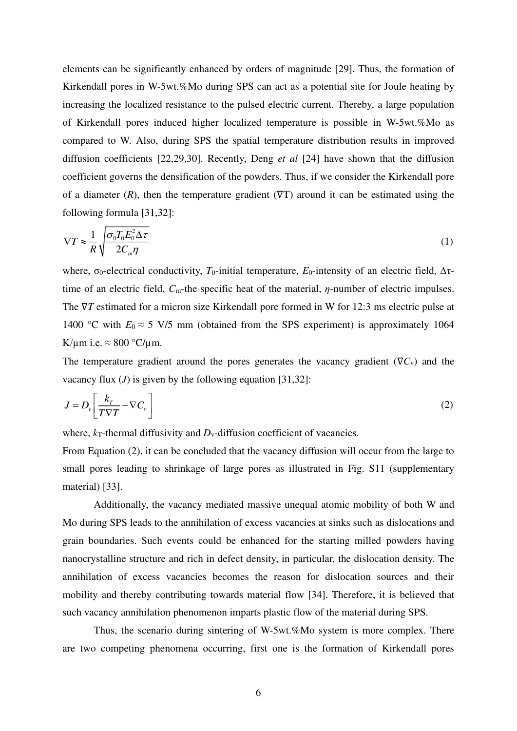elements can be significantly enhanced by orders of magnitude [29]. Thus, the formation of Kirkendall pores in W-5wt.%Mo during SPS can act as a potential site for Joule heating by increasing the localized resistance to the pulsed electric current. Thereby, a large population of Kirkendall pores induced higher localized temperature is possible in W-5wt.%Mo as compared to W. Also, during SPS the spatial temperature distribution results in improved diffusion coefficients [22,29,30]. Recently, Deng *et al* [24] have shown that the diffusion coefficient governs the densification of the powders. Thus, if we consider the Kirkendall pore of a diameter  $(R)$ , then the temperature gradient  $(PT)$  around it can be estimated using the following formula [31,32]:

$$
\nabla T \approx \frac{1}{R} \sqrt{\frac{\sigma_0 T_0 E_0^2 \Delta \tau}{2C_m \eta}}
$$
 (1)

where,  $σ_0$ -electrical conductivity,  $T_0$ -initial temperature,  $E_0$ -intensity of an electric field,  $Δτ$ time of an electric field, *C*m-the specific heat of the material, *η*-number of electric impulses. The  $∇T$  estimated for a micron size Kirkendall pore formed in W for 12:3 ms electric pulse at 1400 °C with  $E_0 \approx 5$  V/5 mm (obtained from the SPS experiment) is approximately 1064 K/ $\mu$ m i.e.  $\approx 800$  °C/ $\mu$ m.

The temperature gradient around the pores generates the vacancy gradient ( $\nabla C_v$ ) and the vacancy flux (*J*) is given by the following equation [31,32]:

$$
J = D_v \left[ \frac{k_T}{T \nabla T} - \nabla C_v \right] \tag{2}
$$

where,  $k_T$ -thermal diffusivity and  $D_v$ -diffusion coefficient of vacancies.

From Equation (2), it can be concluded that the vacancy diffusion will occur from the large to small pores leading to shrinkage of large pores as illustrated in Fig. S11 (supplementary material) [33].

 Additionally, the vacancy mediated massive unequal atomic mobility of both W and Mo during SPS leads to the annihilation of excess vacancies at sinks such as dislocations and grain boundaries. Such events could be enhanced for the starting milled powders having nanocrystalline structure and rich in defect density, in particular, the dislocation density. The annihilation of excess vacancies becomes the reason for dislocation sources and their mobility and thereby contributing towards material flow [34]. Therefore, it is believed that such vacancy annihilation phenomenon imparts plastic flow of the material during SPS.

 Thus, the scenario during sintering of W-5wt.%Mo system is more complex. There are two competing phenomena occurring, first one is the formation of Kirkendall pores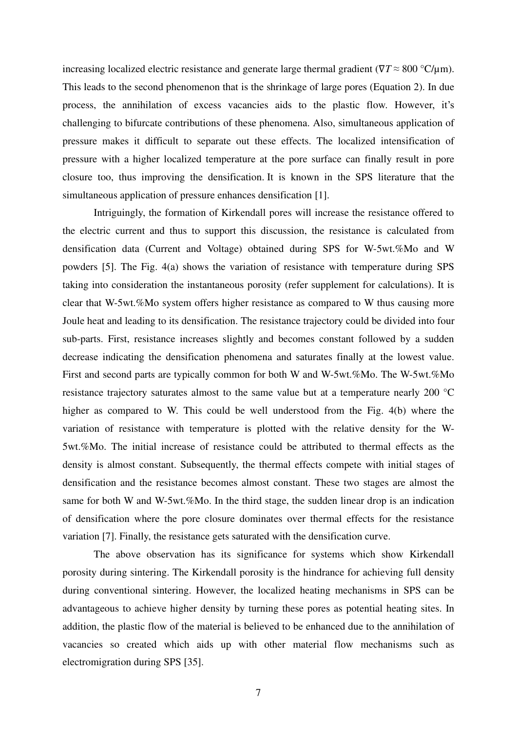increasing localized electric resistance and generate large thermal gradient ( $\nabla T \approx 800 \text{ °C/\mu m}$ ). This leads to the second phenomenon that is the shrinkage of large pores (Equation 2). In due process, the annihilation of excess vacancies aids to the plastic flow. However, it's challenging to bifurcate contributions of these phenomena. Also, simultaneous application of pressure makes it difficult to separate out these effects. The localized intensification of pressure with a higher localized temperature at the pore surface can finally result in pore closure too, thus improving the densification. It is known in the SPS literature that the simultaneous application of pressure enhances densification [1].

 Intriguingly, the formation of Kirkendall pores will increase the resistance offered to the electric current and thus to support this discussion, the resistance is calculated from densification data (Current and Voltage) obtained during SPS for W-5wt.%Mo and W powders [5]. The Fig. 4(a) shows the variation of resistance with temperature during SPS taking into consideration the instantaneous porosity (refer supplement for calculations). It is clear that W-5wt.%Mo system offers higher resistance as compared to W thus causing more Joule heat and leading to its densification. The resistance trajectory could be divided into four sub-parts. First, resistance increases slightly and becomes constant followed by a sudden decrease indicating the densification phenomena and saturates finally at the lowest value. First and second parts are typically common for both W and W-5wt.%Mo. The W-5wt.%Mo resistance trajectory saturates almost to the same value but at a temperature nearly 200 °C higher as compared to W. This could be well understood from the Fig. 4(b) where the variation of resistance with temperature is plotted with the relative density for the W-5wt.%Mo. The initial increase of resistance could be attributed to thermal effects as the density is almost constant. Subsequently, the thermal effects compete with initial stages of densification and the resistance becomes almost constant. These two stages are almost the same for both W and W-5wt.%Mo. In the third stage, the sudden linear drop is an indication of densification where the pore closure dominates over thermal effects for the resistance variation [7]. Finally, the resistance gets saturated with the densification curve.

 The above observation has its significance for systems which show Kirkendall porosity during sintering. The Kirkendall porosity is the hindrance for achieving full density during conventional sintering. However, the localized heating mechanisms in SPS can be advantageous to achieve higher density by turning these pores as potential heating sites. In addition, the plastic flow of the material is believed to be enhanced due to the annihilation of vacancies so created which aids up with other material flow mechanisms such as electromigration during SPS [35].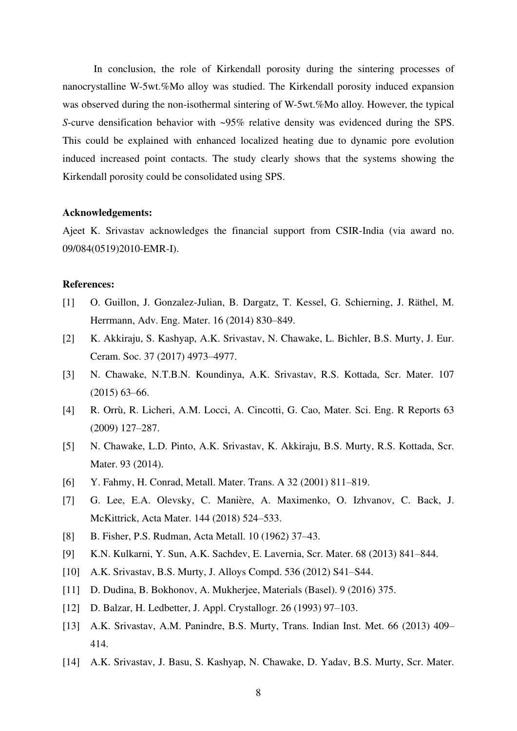In conclusion, the role of Kirkendall porosity during the sintering processes of nanocrystalline W-5wt.%Mo alloy was studied. The Kirkendall porosity induced expansion was observed during the non-isothermal sintering of W-5wt.%Mo alloy. However, the typical *S*-curve densification behavior with ~95% relative density was evidenced during the SPS. This could be explained with enhanced localized heating due to dynamic pore evolution induced increased point contacts. The study clearly shows that the systems showing the Kirkendall porosity could be consolidated using SPS.

#### **Acknowledgements:**

Ajeet K. Srivastav acknowledges the financial support from CSIR-India (via award no. 09/084(0519)2010-EMR-I).

#### **References:**

- [1] O. Guillon, J. Gonzalez-Julian, B. Dargatz, T. Kessel, G. Schierning, J. Räthel, M. Herrmann, Adv. Eng. Mater. 16 (2014) 830–849.
- [2] K. Akkiraju, S. Kashyap, A.K. Srivastav, N. Chawake, L. Bichler, B.S. Murty, J. Eur. Ceram. Soc. 37 (2017) 4973–4977.
- [3] N. Chawake, N.T.B.N. Koundinya, A.K. Srivastav, R.S. Kottada, Scr. Mater. 107 (2015) 63–66.
- [4] R. Orrù, R. Licheri, A.M. Locci, A. Cincotti, G. Cao, Mater. Sci. Eng. R Reports 63 (2009) 127–287.
- [5] N. Chawake, L.D. Pinto, A.K. Srivastav, K. Akkiraju, B.S. Murty, R.S. Kottada, Scr. Mater. 93 (2014).
- [6] Y. Fahmy, H. Conrad, Metall. Mater. Trans. A 32 (2001) 811–819.
- [7] G. Lee, E.A. Olevsky, C. Manière, A. Maximenko, O. Izhvanov, C. Back, J. McKittrick, Acta Mater. 144 (2018) 524–533.
- [8] B. Fisher, P.S. Rudman, Acta Metall. 10 (1962) 37–43.
- [9] K.N. Kulkarni, Y. Sun, A.K. Sachdev, E. Lavernia, Scr. Mater. 68 (2013) 841–844.
- [10] A.K. Srivastav, B.S. Murty, J. Alloys Compd. 536 (2012) S41–S44.
- [11] D. Dudina, B. Bokhonov, A. Mukherjee, Materials (Basel). 9 (2016) 375.
- [12] D. Balzar, H. Ledbetter, J. Appl. Crystallogr. 26 (1993) 97–103.
- [13] A.K. Srivastav, A.M. Panindre, B.S. Murty, Trans. Indian Inst. Met. 66 (2013) 409– 414.
- [14] A.K. Srivastav, J. Basu, S. Kashyap, N. Chawake, D. Yadav, B.S. Murty, Scr. Mater.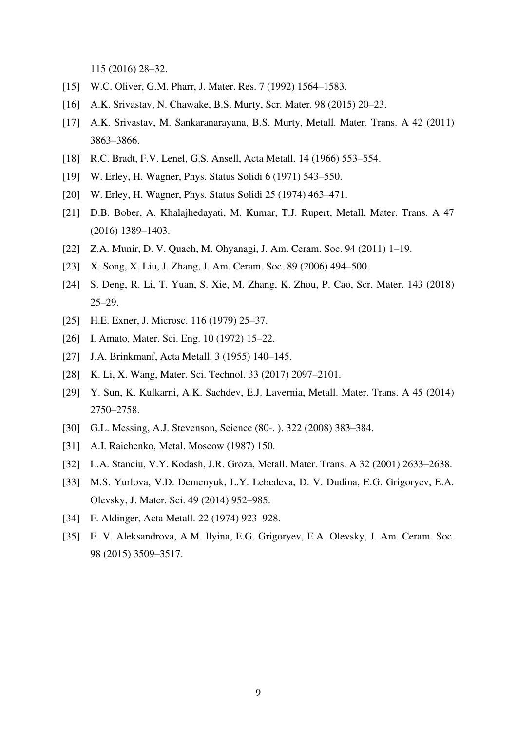115 (2016) 28–32.

- [15] W.C. Oliver, G.M. Pharr, J. Mater. Res. 7 (1992) 1564–1583.
- [16] A.K. Srivastav, N. Chawake, B.S. Murty, Scr. Mater. 98 (2015) 20–23.
- [17] A.K. Srivastav, M. Sankaranarayana, B.S. Murty, Metall. Mater. Trans. A 42 (2011) 3863–3866.
- [18] R.C. Bradt, F.V. Lenel, G.S. Ansell, Acta Metall. 14 (1966) 553–554.
- [19] W. Erley, H. Wagner, Phys. Status Solidi 6 (1971) 543–550.
- [20] W. Erley, H. Wagner, Phys. Status Solidi 25 (1974) 463–471.
- [21] D.B. Bober, A. Khalajhedayati, M. Kumar, T.J. Rupert, Metall. Mater. Trans. A 47 (2016) 1389–1403.
- [22] Z.A. Munir, D. V. Quach, M. Ohyanagi, J. Am. Ceram. Soc. 94 (2011) 1–19.
- [23] X. Song, X. Liu, J. Zhang, J. Am. Ceram. Soc. 89 (2006) 494–500.
- [24] S. Deng, R. Li, T. Yuan, S. Xie, M. Zhang, K. Zhou, P. Cao, Scr. Mater. 143 (2018) 25–29.
- [25] H.E. Exner, J. Microsc. 116 (1979) 25–37.
- [26] I. Amato, Mater. Sci. Eng. 10 (1972) 15–22.
- [27] J.A. Brinkmanf, Acta Metall. 3 (1955) 140–145.
- [28] K. Li, X. Wang, Mater. Sci. Technol. 33 (2017) 2097–2101.
- [29] Y. Sun, K. Kulkarni, A.K. Sachdev, E.J. Lavernia, Metall. Mater. Trans. A 45 (2014) 2750–2758.
- [30] G.L. Messing, A.J. Stevenson, Science (80-. ). 322 (2008) 383–384.
- [31] A.I. Raichenko, Metal. Moscow (1987) 150.
- [32] L.A. Stanciu, V.Y. Kodash, J.R. Groza, Metall. Mater. Trans. A 32 (2001) 2633–2638.
- [33] M.S. Yurlova, V.D. Demenyuk, L.Y. Lebedeva, D. V. Dudina, E.G. Grigoryev, E.A. Olevsky, J. Mater. Sci. 49 (2014) 952–985.
- [34] F. Aldinger, Acta Metall. 22 (1974) 923–928.
- [35] E. V. Aleksandrova, A.M. Ilyina, E.G. Grigoryev, E.A. Olevsky, J. Am. Ceram. Soc. 98 (2015) 3509–3517.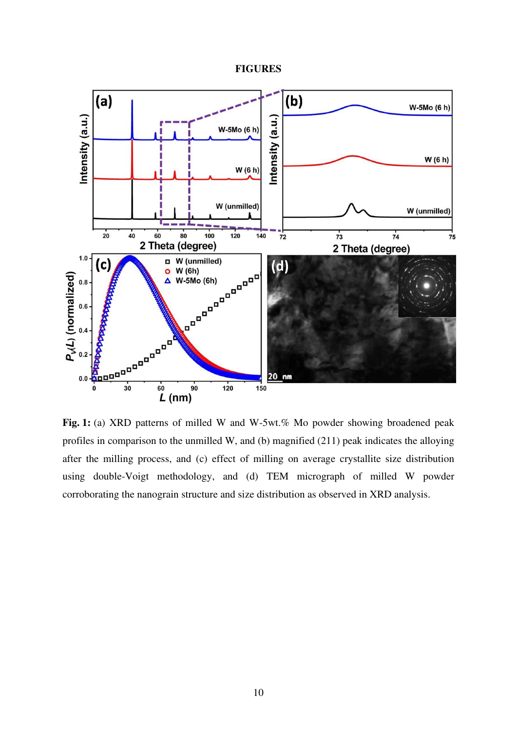### **FIGURES**



Fig. 1: (a) XRD patterns of milled W and W-5wt.% Mo powder showing broadened peak profiles in comparison to the unmilled W, and (b) magnified (211) peak indicates the alloying after the milling process, and (c) effect of milling on average crystallite size distribution using double-Voigt methodology, and (d) TEM micrograph of milled W powder corroborating the nanograin structure and size distribution as observed in XRD analysis.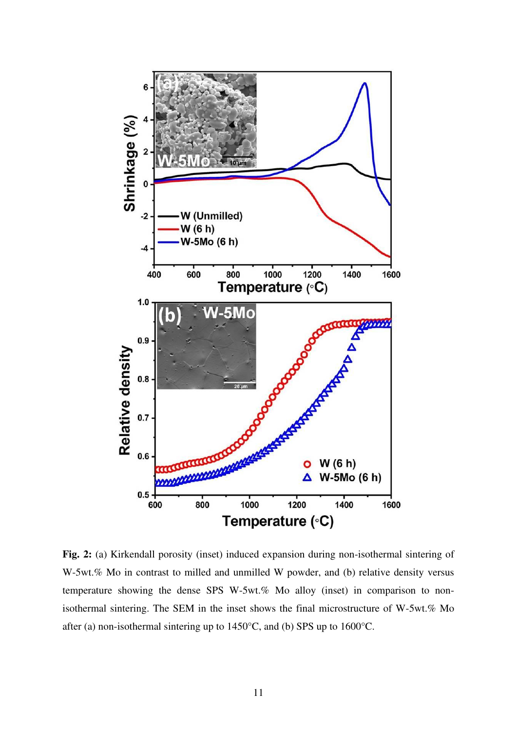

**Fig. 2:** (a) Kirkendall porosity (inset) induced expansion during non-isothermal sintering of W-5wt.% Mo in contrast to milled and unmilled W powder, and (b) relative density versus temperature showing the dense SPS W-5wt.% Mo alloy (inset) in comparison to nonisothermal sintering. The SEM in the inset shows the final microstructure of W-5wt.% Mo after (a) non-isothermal sintering up to 1450°C, and (b) SPS up to 1600°C.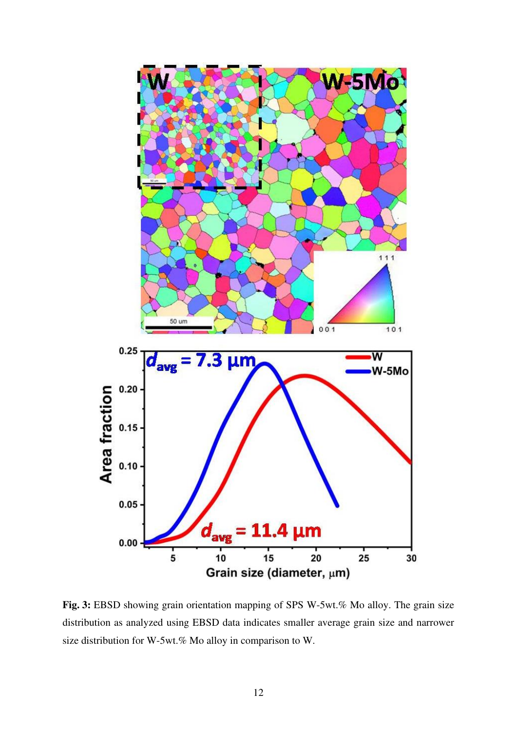

**Fig. 3:** EBSD showing grain orientation mapping of SPS W-5wt.% Mo alloy. The grain size distribution as analyzed using EBSD data indicates smaller average grain size and narrower size distribution for W-5wt.% Mo alloy in comparison to W.